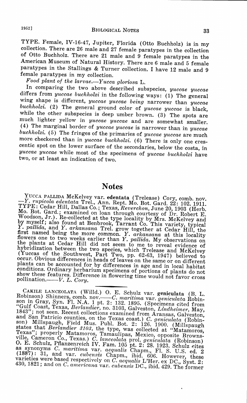TYPE. Female, IV-16-47, Jupiter, Florida (Otto Buchholz) is in my collection. There are 26 male and 27 female paratypes in the collection of Otto Buchholz. There are 21 male and 9 female paratypes in the American Museum of Natural History. There are 6 male and 5 female paratypes in the Stallings & Turner collection. I have 12 male and 9 female paratypes in my collection.

*Food plant of the larvae.-Yucca gloriosa* L.

In comparing the two above described subspecies, *yuccae yuccae*  differs from *yuccae buchholzi* in the following ways: (1) The general wing shape is different, *yuccae yuccae being* narrower than *yuccae buchholzi.* ( 2) The general ground color of *yuccae yuccae* is black, while the other subspecies is deep umber brown. (3) The spots are much lighter yellow in *yuccae yuccae* and are somewhat smaller. (4) The marginal border of *yuccae yuccae* is narrower than in *yuccae buchholzi.* ( 5) The fringes of the primaries of *yuccae yuccae* are much more checkered than in *yuccae buchholzi.* (6) There is only one crescentic spot on the lower surface of the secondaries, below the costa, in *yuccae yuccae* while most of the specimens of *yuccae buchholzi* have two, or at least an indication of two.

## **Notes**

YUCCA PALLIDA McKelvey var. edentata (Trelease) Cory, comb. nov.<br>--Y. *rupicola edentata* Trel., Ann. Rept. Mo. Bot. Gard. 22: 102. 1911.<br>TYPE: Cedar Hill, Dallas Co.; Texas, *Reverchon*, June 20, 1903 (Herb.<br>Mo. Bot. Gard Woodson, Jr.). Re-collected at the type locality by Mrs. McKelvey and<br>by myself; also found at Benbrook, Tarrant Co. This variety, typical<br>by myllida and V sull. Y. pallida, and Y. arkansana Trel. grow together at Cedar Hill, the first named being the more common. Y. arkansana at this locality flowers one to two weeks earlier than Y. pallida. My observations on the plants at Cedar hybridization between the two species, which Trelease and McKelvey (Yuccas of the Southwest, Part Two, pp. 62-63, 1947) believed to occur. Obvious differences in heads of leaves on the same or on different plants can be ac conditions. Ordinary herbarium specimens of portions of plants do not show these features. Difference in flowering time would not favor cross pollination.----- V. L. Cory.

CAKILE LANCEOLATA (Willd.) O. E. Schulz var. geniculata (B. L. Robinson) Shinners, comb. nov.——C. maritima var. geniculata Robinson in Gray, Syn. Fl. N.A. 1 pt. 2: 132. 1895. (Specimens cited from "Gulf Coast, Texas, Berl and San Patricio counties, on the Texas coast.) *C. geniculata* (Robin-<br>son) Millspaugh, Field Mus. Publ. Bot. 2: 126. 1900. (Millspaugh states that *Berlandier 3103,* the type, was collected at "Matamoros, Texas"; properly Matamoros, Tamaulipas, Mexico, opposite Brownsville, Cameron Co., Texas.) C. lanceolata prol. generalita (Robinson)<br>O. E. Schulz, Pflanzenreich IV. Fam. 105 pt. 2: 28. 1923. Schulz cites<br>as synonyms C. maritima var. aequalis Chapm., Fl. S. U.S. ed. 2<br>(1887): 31, and